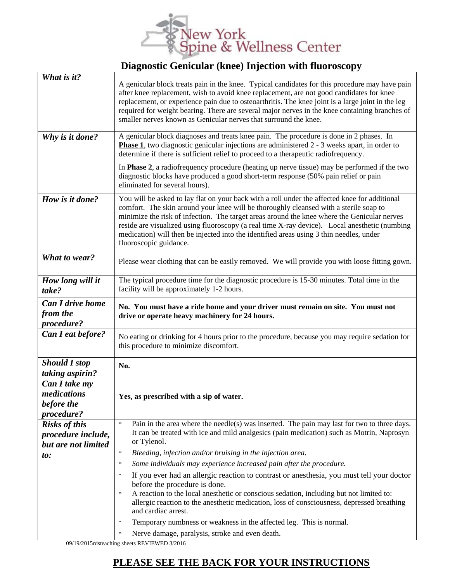

## **Diagnostic Genicular (knee) Injection with fluoroscopy**

| What is it?<br>Why is it done?                                    | A genicular block treats pain in the knee. Typical candidates for this procedure may have pain<br>after knee replacement, wish to avoid knee replacement, are not good candidates for knee<br>replacement, or experience pain due to osteoarthritis. The knee joint is a large joint in the leg<br>required for weight bearing. There are several major nerves in the knee containing branches of<br>smaller nerves known as Genicular nerves that surround the knee.<br>A genicular block diagnoses and treats knee pain. The procedure is done in 2 phases. In<br><b>Phase 1</b> , two diagnostic genicular injections are administered $2 - 3$ weeks apart, in order to<br>determine if there is sufficient relief to proceed to a therapeutic radiofrequency. |
|-------------------------------------------------------------------|-------------------------------------------------------------------------------------------------------------------------------------------------------------------------------------------------------------------------------------------------------------------------------------------------------------------------------------------------------------------------------------------------------------------------------------------------------------------------------------------------------------------------------------------------------------------------------------------------------------------------------------------------------------------------------------------------------------------------------------------------------------------|
|                                                                   | In <b>Phase 2</b> , a radiofrequency procedure (heating up nerve tissue) may be performed if the two<br>diagnostic blocks have produced a good short-term response (50% pain relief or pain<br>eliminated for several hours).                                                                                                                                                                                                                                                                                                                                                                                                                                                                                                                                     |
| How is it done?                                                   | You will be asked to lay flat on your back with a roll under the affected knee for additional<br>comfort. The skin around your knee will be thoroughly cleansed with a sterile soap to<br>minimize the risk of infection. The target areas around the knee where the Genicular nerves<br>reside are visualized using fluoroscopy (a real time X-ray device). Local anesthetic (numbing<br>medication) will then be injected into the identified areas using 3 thin needles, under<br>fluoroscopic guidance.                                                                                                                                                                                                                                                       |
| What to wear?                                                     | Please wear clothing that can be easily removed. We will provide you with loose fitting gown.                                                                                                                                                                                                                                                                                                                                                                                                                                                                                                                                                                                                                                                                     |
| How long will it<br>take?                                         | The typical procedure time for the diagnostic procedure is 15-30 minutes. Total time in the<br>facility will be approximately 1-2 hours.                                                                                                                                                                                                                                                                                                                                                                                                                                                                                                                                                                                                                          |
| <b>Can I drive home</b><br>from the<br>procedure?                 | No. You must have a ride home and your driver must remain on site. You must not<br>drive or operate heavy machinery for 24 hours.                                                                                                                                                                                                                                                                                                                                                                                                                                                                                                                                                                                                                                 |
| Can I eat before?                                                 | No eating or drinking for 4 hours prior to the procedure, because you may require sedation for<br>this procedure to minimize discomfort.                                                                                                                                                                                                                                                                                                                                                                                                                                                                                                                                                                                                                          |
| <b>Should I stop</b><br>taking aspirin?                           | No.                                                                                                                                                                                                                                                                                                                                                                                                                                                                                                                                                                                                                                                                                                                                                               |
| Can I take my<br>medications<br>before the<br>procedure?          | Yes, as prescribed with a sip of water.                                                                                                                                                                                                                                                                                                                                                                                                                                                                                                                                                                                                                                                                                                                           |
| <b>Risks of this</b><br>procedure include,<br>but are not limited | Pain in the area where the needle(s) was inserted. The pain may last for two to three days.<br>$\star$<br>It can be treated with ice and mild analgesics (pain medication) such as Motrin, Naprosyn<br>or Tylenol.<br>Bleeding, infection and/or bruising in the injection area.<br>$\star$                                                                                                                                                                                                                                                                                                                                                                                                                                                                       |
| $\boldsymbol{\mathit{to}}$ :                                      | Some individuals may experience increased pain after the procedure.<br>$\star$                                                                                                                                                                                                                                                                                                                                                                                                                                                                                                                                                                                                                                                                                    |
|                                                                   | If you ever had an allergic reaction to contrast or anesthesia, you must tell your doctor<br>$\star$<br>before the procedure is done.<br>A reaction to the local anesthetic or conscious sedation, including but not limited to:<br>$\star$<br>allergic reaction to the anesthetic medication, loss of consciousness, depressed breathing<br>and cardiac arrest.<br>Temporary numbness or weakness in the affected leg. This is normal.<br>$\star$                                                                                                                                                                                                                                                                                                                |
|                                                                   | Nerve damage, paralysis, stroke and even death.                                                                                                                                                                                                                                                                                                                                                                                                                                                                                                                                                                                                                                                                                                                   |

09/19/2015rdsteaching sheets REVIEWED 3/2016

## **PLEASE SEE THE BACK FOR YOUR INSTRUCTIONS**